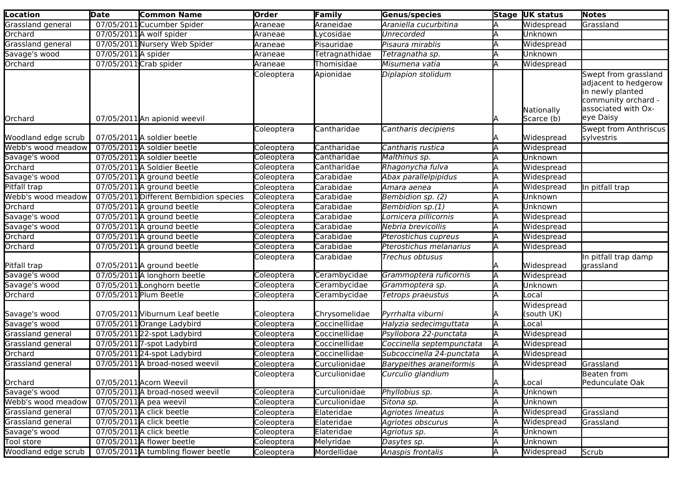| <b>Location</b>     | <b>Date</b>         | <b>Common Name</b>                     | Order      | Family         | Genus/species                   |    | Stage UK status          | <b>Notes</b>                                                                                                                |
|---------------------|---------------------|----------------------------------------|------------|----------------|---------------------------------|----|--------------------------|-----------------------------------------------------------------------------------------------------------------------------|
| Grassland general   |                     | 07/05/2011 Cucumber Spider             | Araneae    | Araneidae      | Araniella cucurbitina           |    | Widespread               | Grassland                                                                                                                   |
| Orchard             |                     | 07/05/2011 A wolf spider               | Araneae    | ycosidae.      | Unrecorded                      |    | Unknown                  |                                                                                                                             |
| Grassland general   |                     | 07/05/2011 Nursery Web Spider          | Araneae    | Pisauridae     | Pisaura mirablis                |    | Widespread               |                                                                                                                             |
| Savage's wood       | 07/05/2011 A spider |                                        | Araneae    | Tetragnathidae | Tetragnatha sp.                 |    | Unknown                  |                                                                                                                             |
| Orchard             |                     | 07/05/2011 Crab spider                 | Araneae    | Thomisidae     | Misumena vatia                  |    | Widespread               |                                                                                                                             |
| Orchard             |                     | 07/05/2011 An apionid weevil           | Coleoptera | Apionidae      | Diplapion stolidum              |    | Nationally<br>Scarce (b) | Swept from grassland<br>adjacent to hedgerow<br>in newly planted<br>community orchard -<br>associated with Ox-<br>eye Daisy |
| Woodland edge scrub |                     | 07/05/2011 A soldier beetle            | Coleoptera | Cantharidae    | Cantharis decipiens             |    | Widespread               | Swept from Anthriscus<br>sylvestris                                                                                         |
| Webb's wood meadow  |                     | 07/05/2011 A soldier beetle            | Coleoptera | Cantharidae    | Cantharis rustica               |    | Widespread               |                                                                                                                             |
| Savage's wood       |                     | 07/05/2011 A soldier beetle            | Coleoptera | Cantharidae    | Malthinus sp.                   |    | Unknown                  |                                                                                                                             |
| Orchard             |                     | 07/05/2011 A Soldier Beetle            | Coleoptera | Cantharidae    | Rhagonycha fulva                |    | Widespread               |                                                                                                                             |
| Savage's wood       |                     | $07/05/2011$ A ground beetle           | Coleoptera | Carabidae      | Abax parallelpipidus            |    | Widespread               |                                                                                                                             |
| Pitfall trap        |                     | $07/05/2011$ A ground beetle           | Coleoptera | Carabidae      | Amara aenea                     |    | Widespread               | In pitfall trap                                                                                                             |
| Webb's wood meadow  |                     | 07/05/2011 Different Bembidion species | Coleoptera | Carabidae      | Bembidion sp. (2)               |    | Unknown                  |                                                                                                                             |
| Orchard             |                     | 07/05/2011 A ground beetle             | Coleoptera | Carabidae      | Bembidion sp.(1)                |    | <b>Unknown</b>           |                                                                                                                             |
| Savage's wood       |                     | 07/05/2011 A ground beetle             | Coleoptera | Carabidae      | Lornicera pillicornis           |    | Widespread               |                                                                                                                             |
| Savage's wood       |                     | 07/05/2011 A ground beetle             | Coleoptera | Carabidae      | Nebria brevicollis              |    | Widespread               |                                                                                                                             |
| Orchard             |                     | 07/05/2011 A ground beetle             | Coleoptera | Carabidae      | Pterostichus cupreus            |    | Widespread               |                                                                                                                             |
| Orchard             |                     | 07/05/2011 A ground beetle             | Coleoptera | Carabidae      | Pterostichus melanarius         |    | Widespread               |                                                                                                                             |
| Pitfall trap        |                     | $07/05/2011$ A ground beetle           | Coleoptera | Carabidae      | Trechus obtusus                 |    | Widespread               | In pitfall trap damp<br>grassland                                                                                           |
| Savage's wood       |                     | 07/05/2011 A longhorn beetle           | Coleoptera | Cerambycidae   | Grammoptera ruficornis          | A  | Widespread               |                                                                                                                             |
| Savage's wood       |                     | 07/05/2011 Longhorn beetle             | Coleoptera | Cerambycidae   | Grammoptera sp.                 |    | <b>Unknown</b>           |                                                                                                                             |
| Orchard             |                     | 07/05/2011 Plum Beetle                 | Coleoptera | Cerambycidae   | Tetrops praeustus               |    | Local                    |                                                                                                                             |
|                     |                     |                                        |            |                |                                 |    | Widespread               |                                                                                                                             |
| Savage's wood       |                     | 07/05/2011 Viburnum Leaf beetle        | Coleoptera | Chrysomelidae  | Pyrrhalta viburni               |    | (south UK)               |                                                                                                                             |
| Savage's wood       |                     | 07/05/2011 Orange Ladybird             | Coleoptera | Coccinellidae  | Halyzia sedecimguttata          | ΙA | Local                    |                                                                                                                             |
| Grassland general   |                     | 07/05/2011 22-spot Ladybird            | Coleoptera | Coccinellidae  | Psyllobora 22-punctata          |    | Widespread               |                                                                                                                             |
| Grassland general   |                     | 07/05/2011 7-spot Ladybird             | Coleoptera | Coccinellidae  | Coccinella septempunctata       | ΙA | Widespread               |                                                                                                                             |
| Orchard             |                     | 07/05/2011 24-spot Ladybird            | Coleoptera | Coccinellidae  | Subcoccinella 24-punctata       |    | Widespread               |                                                                                                                             |
| Grassland general   |                     | 07/05/2011 A broad-nosed weevil        | Coleoptera | Curculionidae  | <b>Barypeithes araneiformis</b> |    | Widespread               | Grassland                                                                                                                   |
| Orchard             |                     | 07/05/2011 Acorn Weevil                | Coleoptera | Curculionidae  | Curculio glandium               |    | Local                    | Beaten from<br>Pedunculate Oak                                                                                              |
| Savage's wood       |                     | 07/05/2011 A broad-nosed weevil        | Coleoptera | Curculionidae  | Phyllobius sp.                  |    | Unknown                  |                                                                                                                             |
| Webb's wood meadow  |                     | $07/05/2011$ A pea weevil              | Coleoptera | Curculionidae  | Sitona sp.                      |    | Unknown                  |                                                                                                                             |
| Grassland general   |                     | 07/05/2011 A click beetle              | Coleoptera | Elateridae     | Agriotes lineatus               |    | Widespread               | Grassland                                                                                                                   |
| Grassland general   |                     | 07/05/2011 A click beetle              | Coleoptera | Elateridae     | Agriotes obscurus               |    | Widespread               | Grassland                                                                                                                   |
| Savage's wood       |                     | 07/05/2011 A click beetle              | Coleoptera | Elateridae     | Agriotus sp.                    |    | Unknown                  |                                                                                                                             |
| Tool store          |                     | 07/05/2011 A flower beetle             | Coleoptera | Melyridae      | Dasytes sp.                     |    | Unknown                  |                                                                                                                             |
| Woodland edge scrub |                     | 07/05/2011 A tumbling flower beetle    | Coleoptera | Mordellidae    | Anaspis frontalis               | ΙA | Widespread               | Scrub                                                                                                                       |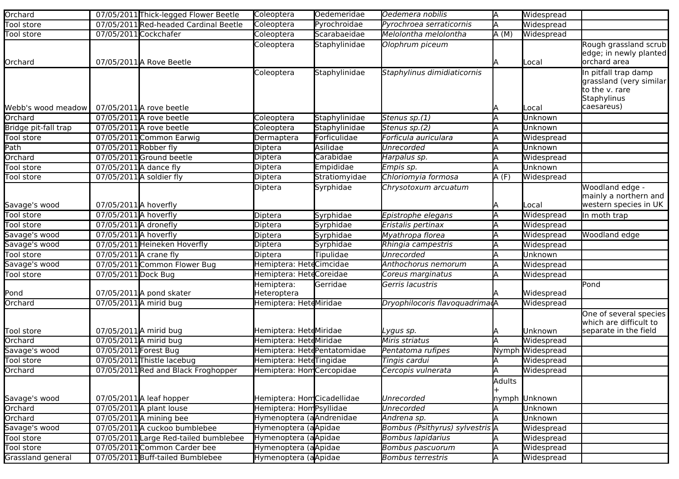| Orchard              |                        | 07/05/2011 Thick-legged Flower Beetle | Coleoptera                  | Oedemeridae   | Oedemera nobilis                | ΙA     | Widespread               |                                           |
|----------------------|------------------------|---------------------------------------|-----------------------------|---------------|---------------------------------|--------|--------------------------|-------------------------------------------|
| Tool store           |                        | 07/05/2011 Red-headed Cardinal Beetle | Coleoptera                  | Pyrochroidae  | Pyrochroea serraticornis        |        | Widespread               |                                           |
| <b>Tool store</b>    |                        | 07/05/2011Cockchafer                  | Coleoptera                  | Scarabaeidae  | Melolontha melolontha           | A(M)   | Widespread               |                                           |
|                      |                        |                                       | Coleoptera                  | Staphylinidae | Olophrum piceum                 |        |                          | Rough grassland scrub                     |
|                      |                        |                                       |                             |               |                                 |        |                          | edge; in newly planted                    |
| Orchard              |                        | 07/05/2011 A Rove Beetle              |                             |               |                                 | IΑ     | Local                    | orchard area                              |
|                      |                        |                                       | Coleoptera                  | Staphylinidae | Staphylinus dimidiaticornis     |        |                          | In pitfall trap damp                      |
|                      |                        |                                       |                             |               |                                 |        |                          | grassland (very similar<br>to the v. rare |
|                      |                        |                                       |                             |               |                                 |        |                          | Staphylinus                               |
| Webb's wood meadow   |                        | 07/05/2011 A rove beetle              |                             |               |                                 |        | Local                    | caesareus)                                |
| Orchard              |                        | 07/05/2011 A rove beetle              | Coleoptera                  | Staphylinidae | Stenus sp.(1)                   |        | Unknown                  |                                           |
| Bridge pit-fall trap |                        | 07/05/2011 A rove beetle              | Coleoptera                  | Staphylinidae | Stenus sp.(2)                   |        | Unknown                  |                                           |
| Tool store           |                        | 07/05/2011 Common Earwig              | Dermaptera                  | Forficulidae  | Forficula auriculara            |        | Widespread               |                                           |
| Path                 | 07/05/2011 Robber fly  |                                       | Diptera                     | Asilidae      | Unrecorded                      |        | Unknown                  |                                           |
| Orchard              |                        | 07/05/2011 Ground beetle              | Diptera                     | Carabidae     | Harpalus sp.                    |        | Widespread               |                                           |
| Tool store           |                        | 07/05/2011 A dance fly                | Diptera                     | Empididae     | Empis sp.                       |        | Unknown                  |                                           |
| Tool store           |                        | 07/05/2011 A soldier fly              | Diptera                     | Stratiomyidae | Chloriomyia formosa             | A(F)   | Widespread               |                                           |
|                      |                        |                                       | Diptera                     | Syrphidae     | Chrysotoxum arcuatum            |        |                          | Woodland edge -                           |
|                      |                        |                                       |                             |               |                                 |        |                          | mainly a northern and                     |
| Savage's wood        | 07/05/2011 A hoverfly  |                                       |                             |               |                                 |        | Local                    | western species in UK                     |
| Tool store           | 07/05/2011 A hoverfly  |                                       | Diptera                     | Syrphidae     | Epistrophe elegans              |        | Widespread               | In moth trap                              |
| Tool store           | 07/05/2011 A dronefly  |                                       | Diptera                     | Syrphidae     | Eristalis pertinax              |        | Widespread               |                                           |
| Savage's wood        | 07/05/2011 A hoverfly  |                                       | Diptera                     | Syrphidae     | Myathropa florea                |        | Widespread               | Woodland edge                             |
| Savage's wood        |                        | 07/05/2011 Heineken Hoverfly          | Diptera                     | Syrphidae     | Rhingia campestris              |        | Widespread               |                                           |
| Tool store           | 07/05/2011 A crane fly |                                       | Diptera                     | Tipulidae     | Unrecorded                      |        | Unknown                  |                                           |
| Savage's wood        |                        | 07/05/2011 Common Flower Bug          | Hemiptera: HeteCimcidae     |               | Anthochorus nemorum             |        | Widespread               |                                           |
| Tool store           | 07/05/2011 Dock Bug    |                                       | Hemiptera: HeteCoreidae     |               | Coreus marginatus               |        | Widespread               |                                           |
|                      |                        |                                       | Hemiptera:                  | Gerridae      | Gerris lacustris                |        |                          | Pond                                      |
| Pond                 |                        | 07/05/2011 A pond skater              | Heteroptera                 |               |                                 |        | Widespread               |                                           |
| Orchard              |                        | 07/05/2011 A mirid bug                | Hemiptera: HeteMiridae      |               | Dryophilocoris flavoquadrimadA  |        | Widespread               |                                           |
|                      |                        |                                       |                             |               |                                 |        |                          | One of several species                    |
|                      |                        |                                       |                             |               |                                 |        |                          | which are difficult to                    |
| Tool store           |                        | 07/05/2011 A mirid bug                | Hemiptera: HeteMiridae      |               | Lygus sp.                       |        | Unknown                  | separate in the field                     |
| Orchard              |                        | 07/05/2011 A mirid bug                | Hemiptera: HeteMiridae      |               | Miris striatus                  |        | Widespread               |                                           |
| Savage's wood        | 07/05/2011 Forest Bug  |                                       | Hemiptera: HetdPentatomidae |               | Pentatoma rufipes               |        | Nymph Widespread         |                                           |
| Tool store           |                        | 07/05/2011 Thistle lacebug            | Hemiptera: HeteTingidae     |               | Tingis cardui                   |        | Widespread               |                                           |
| Orchard              |                        | 07/05/2011 Red and Black Froghopper   | Hemiptera: HomCercopidae    |               | Cercopis vulnerata              |        | Widespread               |                                           |
|                      |                        |                                       |                             |               |                                 | Adults |                          |                                           |
| Savage's wood        |                        | $07/05/2011$ A leaf hopper            | Hemiptera: Hom Cicadellidae |               | Unrecorded                      |        |                          |                                           |
| Orchard              |                        | 07/05/2011 A plant louse              | Hemiptera: HomPsyllidae     |               | Unrecorded                      |        | nymph Unknown<br>Unknown |                                           |
| Orchard              |                        | 07/05/2011 A mining bee               | Hymenoptera (aAndrenidae    |               | Andrena sp.                     |        | Unknown                  |                                           |
| Savage's wood        |                        | 07/05/2011 A cuckoo bumblebee         | Hymenoptera (aApidae        |               | Bombus (Psithyrus) sylvestris A |        | Widespread               |                                           |
| Tool store           |                        | 07/05/2011 Large Red-tailed bumblebee | Hymenoptera (aApidae        |               | <b>Bombus lapidarius</b>        |        | Widespread               |                                           |
| Tool store           |                        | 07/05/2011 Common Carder bee          | Hymenoptera (aApidae        |               | Bombus pascuorum                |        | Widespread               |                                           |
| Grassland general    |                        | 07/05/2011 Buff-tailed Bumblebee      | Hymenoptera (aApidae        |               | <b>Bombus terrestris</b>        |        | Widespread               |                                           |
|                      |                        |                                       |                             |               |                                 |        |                          |                                           |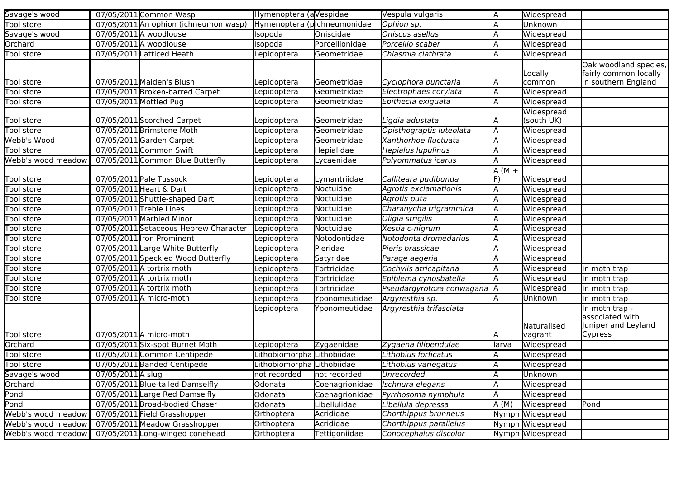| Savage's wood      |                   | 07/05/2011 Common Wasp                | Hymenoptera (aVespidae            |                | Vespula vulgaris          | ΙA      | Widespread               |                                                                       |
|--------------------|-------------------|---------------------------------------|-----------------------------------|----------------|---------------------------|---------|--------------------------|-----------------------------------------------------------------------|
| Tool store         |                   | 07/05/2011 An ophion (ichneumon wasp) | Hymenoptera (plchneumonidae       |                | Ophion sp.                |         | Unknown                  |                                                                       |
| Savage's wood      |                   | 07/05/2011 A woodlouse                | Isopoda                           | Oniscidae      | Oniscus asellus           |         | Widespread               |                                                                       |
| Orchard            |                   | 07/05/2011 A woodlouse                | Isopoda                           | Porcellionidae | Porcellio scaber          |         | Widespread               |                                                                       |
| Tool store         |                   | 07/05/2011 Latticed Heath             | epidoptera                        | Geometridae    | Chiasmia clathrata        |         | Widespread               |                                                                       |
| <b>Tool store</b>  |                   | 07/05/2011 Maiden's Blush             | epidoptera                        | Geometridae    | Cyclophora punctaria      |         | Locally<br>common        | Oak woodland species,<br>fairly common locally<br>in southern England |
| Tool store         |                   | 07/05/2011 Broken-barred Carpet       | epidoptera                        | Geometridae    | Electrophaes corylata     | IΑ      | Widespread               |                                                                       |
| Tool store         |                   | 07/05/2011 Mottled Pug                | epidoptera.                       | Geometridae    | Epithecia exiguata        |         | Widespread               |                                                                       |
| Tool store         |                   | 07/05/2011 Scorched Carpet            | epidoptera.                       | Geometridae    | Ligdia adustata           |         | Widespread<br>(south UK) |                                                                       |
| Tool store         |                   | 07/05/2011 Brimstone Moth             | epidoptera                        | Geometridae    | Opisthograptis luteolata  | ΙA      | Widespread               |                                                                       |
| Webb's Wood        |                   | 07/05/2011Garden Carpet               | epidoptera                        | Geometridae    | Xanthorhoe fluctuata      |         | Widespread               |                                                                       |
| Tool store         |                   | 07/05/2011 Common Swift               | epidoptera                        | Hepialidae     | Hepialus lupulinus        |         | Widespread               |                                                                       |
| Webb's wood meadow |                   | 07/05/2011 Common Blue Butterfly      | epidoptera.                       | Lycaenidae     | Polyommatus icarus        |         | Widespread               |                                                                       |
| Tool store         |                   | 07/05/2011 Pale Tussock               | epidoptera                        | Lymantriidae   | Calliteara pudibunda      | $A(M +$ | Widespread               |                                                                       |
| Tool store         |                   | 07/05/2011 Heart & Dart               | epidoptera                        | Noctuidae      | Agrotis exclamationis     |         | Widespread               |                                                                       |
| Tool store         |                   | 07/05/2011 Shuttle-shaped Dart        | epidoptera                        | Noctuidae      | Agrotis puta              |         | Widespread               |                                                                       |
| Tool store         |                   | 07/05/2011 Treble Lines               | epidoptera                        | Noctuidae      | Charanycha trigrammica    |         | Widespread               |                                                                       |
| Tool store         |                   | 07/05/2011 Marbled Minor              | epidoptera                        | Noctuidae      | Oligia strigilis          |         | Widespread               |                                                                       |
| Tool store         |                   | 07/05/2011 Setaceous Hebrew Character | epidoptera                        | Noctuidae      | Xestia c-nigrum           |         | Widespread               |                                                                       |
| <b>Tool</b> store  |                   | 07/05/2011 Iron Prominent             | epidoptera                        | Notodontidae   | Notodonta dromedarius     |         | Widespread               |                                                                       |
| Tool store         |                   | 07/05/2011 Large White Butterfly      | epidoptera                        | Pieridae       | Pieris brassicae          |         | Widespread               |                                                                       |
| Tool store         |                   | 07/05/2011 Speckled Wood Butterfly    | epidoptera                        | Satyridae      | Parage aegeria            |         | Widespread               |                                                                       |
| Tool store         |                   | 07/05/2011 A tortrix moth             | epidoptera                        | Tortricidae    | Cochylis atricapitana     |         | Widespread               | In moth trap                                                          |
| Tool store         |                   | 07/05/2011 A tortrix moth             | epidoptera                        | Tortricidae    | Epiblema cynosbatella     |         | Widespread               | In moth trap                                                          |
| Tool store         |                   | 07/05/2011 A tortrix moth             | epidoptera                        | Tortricidae    | Pseudargyrotoza conwagana |         | Widespread               | In moth trap                                                          |
| Tool store         |                   | 07/05/2011A micro-moth                | epidoptera                        | Yponomeutidae  | Argyresthia sp.           |         | Unknown                  | In moth trap                                                          |
| <b>Tool store</b>  |                   | 07/05/2011 A micro-moth               | _epidoptera                       | Yponomeutidae  | Argyresthia trifasciata   |         | Naturalised<br>vagrant   | In moth trap -<br>associated with<br>Juniper and Leyland<br>Cypress   |
| Orchard            |                   | 07/05/2011Six-spot Burnet Moth        | epidoptera                        | Zygaenidae     | Zygaena filipendulae      | llarva  | Widespread               |                                                                       |
| Tool store         |                   | 07/05/2011 Common Centipede           | ithobiomorpha Lithobiidae         |                | Lithobius forficatus      |         | Widespread               |                                                                       |
| Tool store         |                   | 07/05/2011 Banded Centipede           | .ithobiomorpha <i>Lithobiidae</i> |                | Lithobius variegatus      | IΑ      | Widespread               |                                                                       |
| Savage's wood      | 07/05/2011 A slug |                                       | not recorded                      | not recorded   | <b>Unrecorded</b>         | ΙA      | Unknown                  |                                                                       |
| Orchard            |                   | 07/05/2011 Blue-tailed Damselfly      | Odonata                           | Coenagrionidae | Ischnura elegans          | IΑ      | Widespread               |                                                                       |
| Pond               |                   | 07/05/2011 Large Red Damselfly        | Odonata                           | Coenagrionidae | Pyrrhosoma nymphula       |         | Widespread               |                                                                       |
| Pond               |                   | 07/05/2011 Broad-bodied Chaser        | Odonata                           | Libellulidae   | Libellula depressa        | A (M)   | Widespread               | Pond                                                                  |
| Webb's wood meadow |                   | 07/05/2011 Field Grasshopper          | Orthoptera                        | Acrididae      | Chorthippus brunneus      |         | Nymph Widespread         |                                                                       |
| Webb's wood meadow |                   | 07/05/2011 Meadow Grasshopper         | Orthoptera                        | Acrididae      | Chorthippus parallelus    |         | Nymph Widespread         |                                                                       |
| Webb's wood meadow |                   | 07/05/2011 Long-winged conehead       | Orthoptera                        | Tettigoniidae  | Conocephalus discolor     |         | Nymph Widespread         |                                                                       |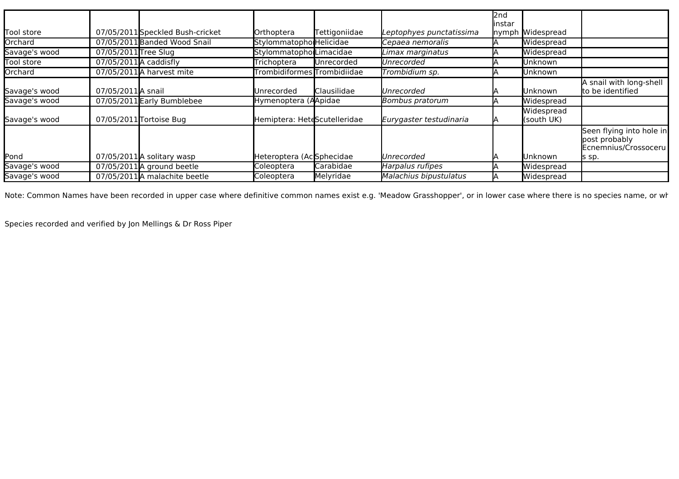|               |                        |                                  |                              |               |                          | l2nd<br>linstar |                          |                                                                            |
|---------------|------------------------|----------------------------------|------------------------------|---------------|--------------------------|-----------------|--------------------------|----------------------------------------------------------------------------|
| Tool store    |                        | 07/05/2011 Speckled Bush-cricket | Orthoptera                   | Tettigoniidae | Leptophyes punctatissima | <b>I</b> nymph  | Widespread               |                                                                            |
| Orchard       |                        | 07/05/2011 Banded Wood Snail     | Stylommatopho Helicidae      |               | Cepaea nemoralis         |                 | Widespread               |                                                                            |
| Savage's wood | 07/05/2011 Tree Slug   |                                  | Stylommatopho Limacidae      |               | Limax marginatus         |                 | Widespread               |                                                                            |
| Tool store    | 07/05/2011 A caddisfly |                                  | Trichoptera                  | Unrecorded    | Unrecorded               |                 | Unknown                  |                                                                            |
| Orchard       |                        | 07/05/2011 A harvest mite        | Trombidiformes Trombidiidae  |               | Trombidium sp.           |                 | Unknown                  |                                                                            |
| Savage's wood | 07/05/2011 A snail     |                                  | Unrecorded                   | Clausilidae   | Unrecorded               |                 | Unknown                  | A snail with long-shell<br>to be identified                                |
| Savage's wood |                        | 07/05/2011 Early Bumblebee       | Hymenoptera (AApidae         |               | Bombus pratorum          |                 | Widespread               |                                                                            |
| Savage's wood |                        | 07/05/2011 Tortoise Bug          | Hemiptera: HeteScutelleridae |               | Eurygaster testudinaria  |                 | Widespread<br>(south UK) |                                                                            |
| Pond          |                        | $07/05/2011$ A solitary wasp     | Heteroptera (AcSphecidae     |               | Unrecorded               |                 | Unknown                  | Seen flying into hole in<br>post probably<br>Ecnemnius/Crossoceru<br>s sp. |
| Savage's wood |                        | $07/05/2011$ A ground beetle     | Coleoptera                   | Carabidae     | Harpalus rufipes         |                 | Widespread               |                                                                            |
| Savage's wood |                        | 07/05/2011 A malachite beetle    | Coleoptera                   | Melyridae     | Malachius bipustulatus   |                 | Widespread               |                                                                            |

Note: Common Names have been recorded in upper case where definitive common names exist e.g. 'Meadow Grasshopper', or in lower case where there is no species name, or where there is no species name, or where there is no sp

Species recorded and verified by Jon Mellings & Dr Ross Piper